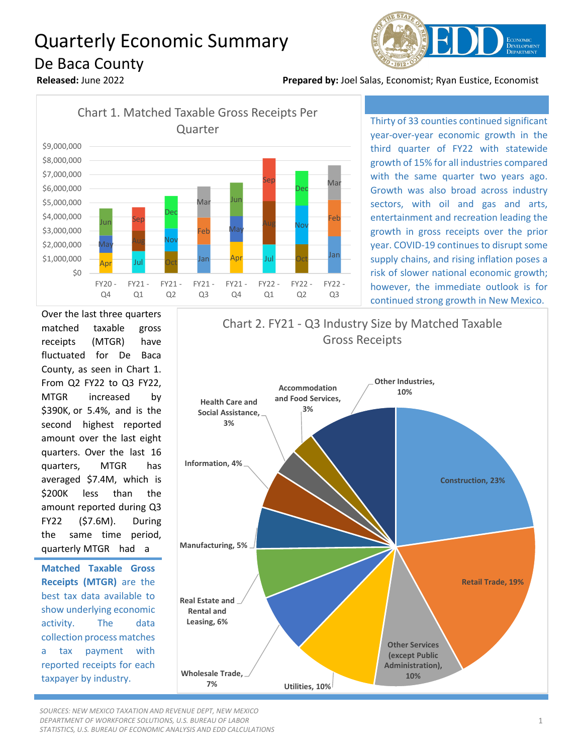## Quarterly Economic Summary De Baca County



**Released:** June 2022 **Prepared by:** Joel Salas, Economist; Ryan Eustice, Economist



Thirty of 33 counties continued significant year-over-year economic growth in the third quarter of FY22 with statewide growth of 15% for all industries compared with the same quarter two years ago. Growth was also broad across industry sectors, with oil and gas and arts, entertainment and recreation leading the growth in gross receipts over the prior year. COVID-19 continues to disrupt some supply chains, and rising inflation poses a risk of slower national economic growth; however, the immediate outlook is for continued strong growth in New Mexico.

Over the last three quarters matched taxable gross receipts (MTGR) have fluctuated for De Baca County, as seen in Chart 1. From Q2 FY22 to Q3 FY22, MTGR increased by \$390K, or 5.4%, and is the second highest reported amount over the last eight quarters. Over the last 16 quarters, MTGR has averaged \$7.4M, which is \$200K less than the amount reported during Q3 FY22 (\$7.6M). During the same time period, quarterly MTGR had a

**Matched Taxable Gross Receipts (MTGR)** are the best tax data available to show underlying economic activity. The data collection process matches a tax payment with reported receipts for each taxpayer by industry.



*SOURCES: NEW MEXICO TAXATION AND REVENUE DEPT, NEW MEXICO DEPARTMENT OF WORKFORCE SOLUTIONS, U.S. BUREAU OF LABOR STATISTICS, U.S. BUREAU OF ECONOMIC ANALYSIS AND EDD CALCULATIONS*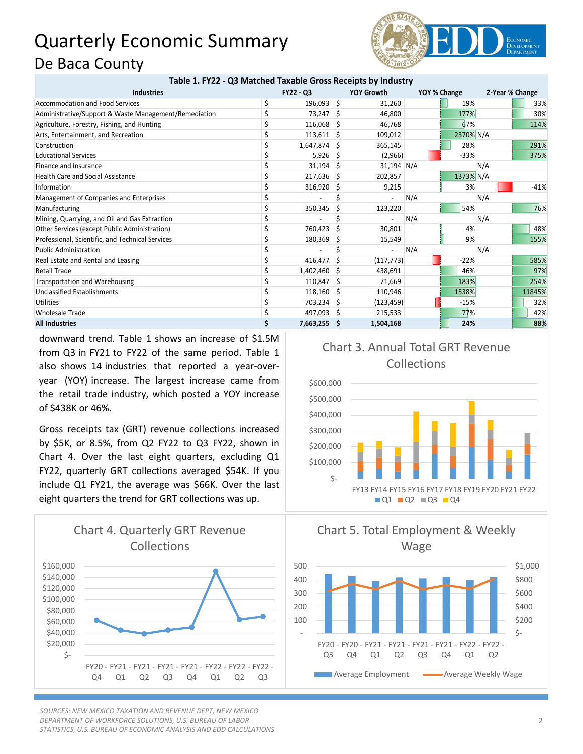## Quarterly Economic Summary De Baca County **Table 1. FY22 - Q3 Matched Taxable Gross Receipts by Industry**



| Table 1. FYZZ - Q3 Matched Taxable Gross Receipts by Industry |         |    |                                                                                                                                                                                                                                           |              |                                                   |                 |                                                    |  |
|---------------------------------------------------------------|---------|----|-------------------------------------------------------------------------------------------------------------------------------------------------------------------------------------------------------------------------------------------|--------------|---------------------------------------------------|-----------------|----------------------------------------------------|--|
| <b>FY22 - Q3</b>                                              |         |    | <b>YOY Growth</b>                                                                                                                                                                                                                         | YOY % Change |                                                   | 2-Year % Change |                                                    |  |
|                                                               |         |    | 31,260                                                                                                                                                                                                                                    |              | 19%                                               |                 | 33%                                                |  |
|                                                               |         |    | 46,800                                                                                                                                                                                                                                    |              | 177%                                              |                 | 30%                                                |  |
|                                                               |         |    | 46,768                                                                                                                                                                                                                                    |              | 67%                                               |                 | 114%                                               |  |
|                                                               |         |    | 109,012                                                                                                                                                                                                                                   |              |                                                   |                 |                                                    |  |
|                                                               |         |    | 365,145                                                                                                                                                                                                                                   |              | 28%                                               |                 | 291%                                               |  |
|                                                               |         | -S |                                                                                                                                                                                                                                           |              | $-33%$                                            |                 | 375%                                               |  |
|                                                               |         |    |                                                                                                                                                                                                                                           |              |                                                   |                 |                                                    |  |
|                                                               |         |    | 202,857                                                                                                                                                                                                                                   |              |                                                   |                 |                                                    |  |
|                                                               |         | -S | 9,215                                                                                                                                                                                                                                     |              | 3%                                                |                 | $-41%$                                             |  |
|                                                               |         |    |                                                                                                                                                                                                                                           | N/A          |                                                   |                 |                                                    |  |
|                                                               | 350,345 | S  | 123,220                                                                                                                                                                                                                                   |              | 54%                                               |                 | 76%                                                |  |
|                                                               |         |    |                                                                                                                                                                                                                                           | N/A          |                                                   |                 |                                                    |  |
|                                                               | 760,423 |    | 30,801                                                                                                                                                                                                                                    |              | 4%                                                |                 | 48%                                                |  |
|                                                               |         | -S | 15,549                                                                                                                                                                                                                                    |              | 9%                                                |                 | 155%                                               |  |
|                                                               |         |    |                                                                                                                                                                                                                                           | N/A          |                                                   |                 |                                                    |  |
|                                                               | 416,477 | S  |                                                                                                                                                                                                                                           |              | $-22%$                                            |                 | 585%                                               |  |
|                                                               |         |    | 438,691                                                                                                                                                                                                                                   |              | 46%                                               |                 | 97%                                                |  |
|                                                               |         |    | 71,669                                                                                                                                                                                                                                    |              | 183%                                              |                 | 254%                                               |  |
|                                                               |         |    | 110,946                                                                                                                                                                                                                                   |              | 1538%                                             |                 | 11845%                                             |  |
|                                                               |         |    |                                                                                                                                                                                                                                           |              | $-15%$                                            |                 | 32%                                                |  |
|                                                               |         |    | 215,533                                                                                                                                                                                                                                   |              | 77%                                               |                 | 42%                                                |  |
|                                                               |         |    | 1,504,168                                                                                                                                                                                                                                 |              | 24%                                               |                 | 88%                                                |  |
|                                                               |         |    | $196,093$ \$<br>73,247 \$<br>$116,068$ \$<br>$113,611$ \$<br>$1,647,874$ \$<br>5,926<br>$31,194$ \$<br>$217,636$ \$<br>316,920<br>180,369<br>$1,402,460$ \$<br>$110,847$ \$<br>$118,160$ \$<br>703,234 \$<br>497,093 \$<br>$7,663,255$ \$ |              | (2,966)<br>31,194 N/A<br>(117, 773)<br>(123, 459) |                 | 2370% N/A<br>N/A<br>1373% N/A<br>N/A<br>N/A<br>N/A |  |

downward trend. Table 1 shows an increase of \$1.5M from Q3 in FY21 to FY22 of the same period. Table 1 also shows 14 industries that reported a year-overyear (YOY) increase. The largest increase came from the retail trade industry, which posted a YOY increase of \$438K or 46%.

Gross receipts tax (GRT) revenue collections increased by \$5K, or 8.5%, from Q2 FY22 to Q3 FY22, shown in Chart 4. Over the last eight quarters, excluding Q1 FY22, quarterly GRT collections averaged \$54K. If you include Q1 FY21, the average was \$66K. Over the last eight quarters the trend for GRT collections was up.



*SOURCES: NEW MEXICO TAXATION AND REVENUE DEPT, NEW MEXICO DEPARTMENT OF WORKFORCE SOLUTIONS, U.S. BUREAU OF LABOR STATISTICS, U.S. BUREAU OF ECONOMIC ANALYSIS AND EDD CALCULATIONS*